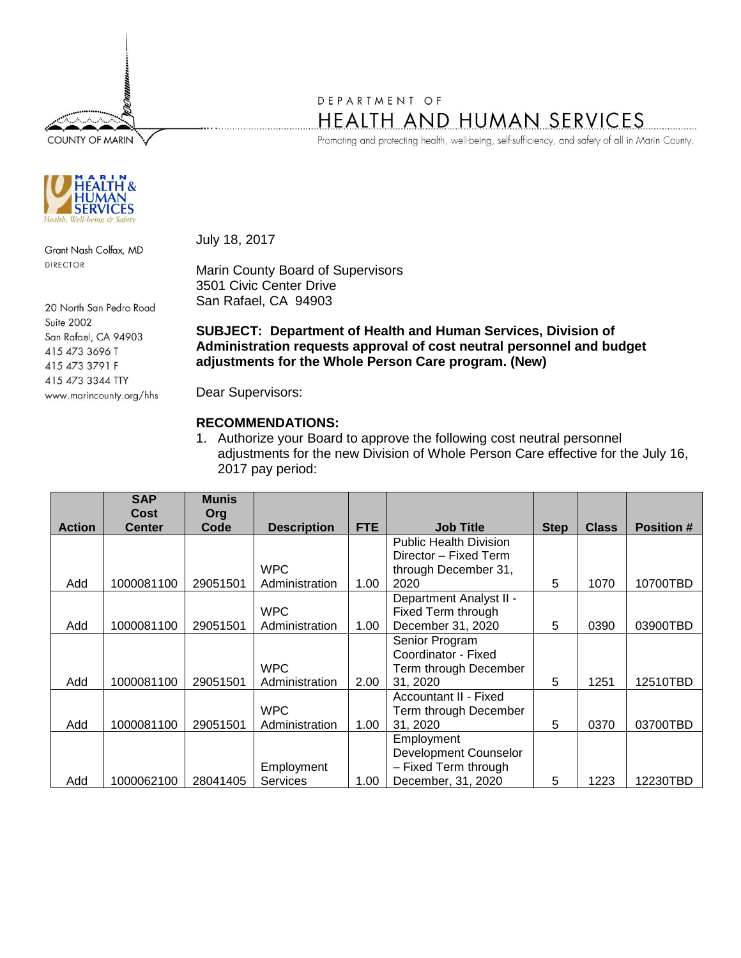**COUNTY OF MARIN** 



Grant Nash Colfax, MD **DIRECTOR** 

20 North San Pedro Road Suite 2002 San Rafael, CA 94903 415 473 3696 T 415 473 3791 F 415 473 3344 TTY www.marincounty.org/hhs

## DEPARTMENT OF **HEALTH AND HUMAN SERVICES**

Promoting and protecting health, well-being, self-sufficiency, and safety of all in Marin County.

July 18, 2017

Marin County Board of Supervisors 3501 Civic Center Drive San Rafael, CA 94903

## **SUBJECT: Department of Health and Human Services, Division of Administration requests approval of cost neutral personnel and budget adjustments for the Whole Person Care program. (New)**

Dear Supervisors:

## **RECOMMENDATIONS:**

1. Authorize your Board to approve the following cost neutral personnel adjustments for the new Division of Whole Person Care effective for the July 16, 2017 pay period:

|               | <b>SAP</b>    | <b>Munis</b> |                    |            |                               |             |              |                   |
|---------------|---------------|--------------|--------------------|------------|-------------------------------|-------------|--------------|-------------------|
|               | Cost          | Org          |                    |            |                               |             |              |                   |
| <b>Action</b> | <b>Center</b> | Code         | <b>Description</b> | <b>FTE</b> | <b>Job Title</b>              | <b>Step</b> | <b>Class</b> | <b>Position #</b> |
|               |               |              |                    |            | <b>Public Health Division</b> |             |              |                   |
|               |               |              |                    |            | Director - Fixed Term         |             |              |                   |
|               |               |              | <b>WPC</b>         |            | through December 31,          |             |              |                   |
| Add           | 1000081100    | 29051501     | Administration     | 1.00       | 2020                          | 5           | 1070         | 10700TBD          |
|               |               |              |                    |            | Department Analyst II -       |             |              |                   |
|               |               |              | <b>WPC</b>         |            | Fixed Term through            |             |              |                   |
| Add           | 1000081100    | 29051501     | Administration     | 1.00       | December 31, 2020             | 5           | 0390         | 03900TBD          |
|               |               |              |                    |            | Senior Program                |             |              |                   |
|               |               |              |                    |            | Coordinator - Fixed           |             |              |                   |
|               |               |              | <b>WPC</b>         |            | Term through December         |             |              |                   |
| Add           | 1000081100    | 29051501     | Administration     | 2.00       | 31, 2020                      | 5           | 1251         | 12510TBD          |
|               |               |              |                    |            | Accountant II - Fixed         |             |              |                   |
|               |               |              | <b>WPC</b>         |            | Term through December         |             |              |                   |
| Add           | 1000081100    | 29051501     | Administration     | 1.00       | 31, 2020                      | 5           | 0370         | 03700TBD          |
|               |               |              |                    |            | Employment                    |             |              |                   |
|               |               |              |                    |            | Development Counselor         |             |              |                   |
|               |               |              | Employment         |            | - Fixed Term through          |             |              |                   |
| Add           | 1000062100    | 28041405     | <b>Services</b>    | 1.00       | December, 31, 2020            | 5           | 1223         | 12230TBD          |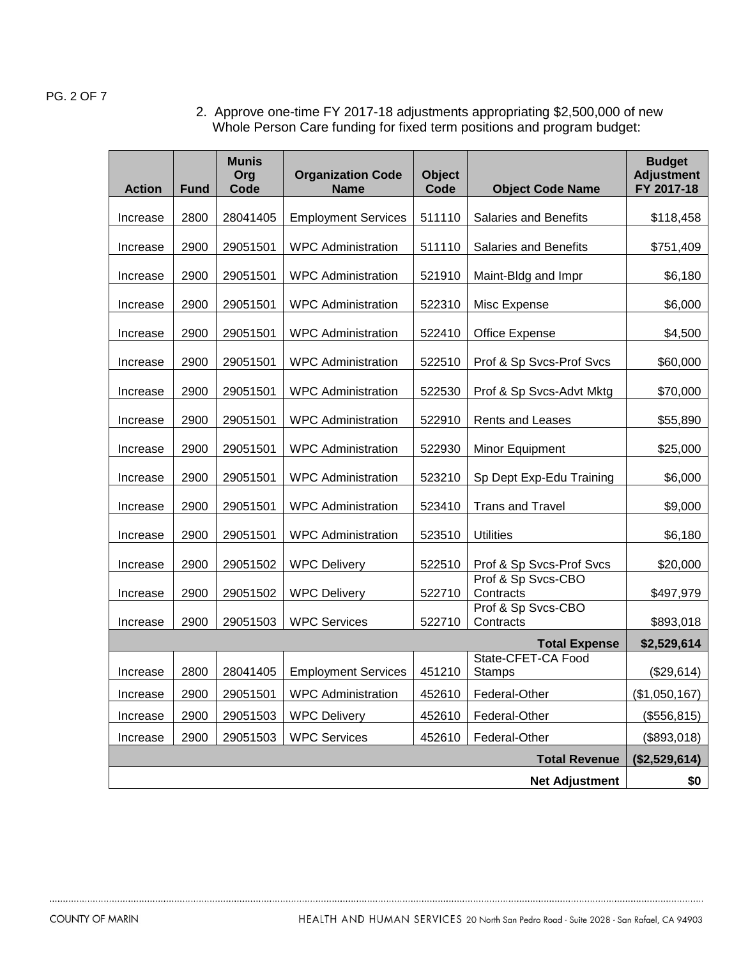2. Approve one-time FY 2017-18 adjustments appropriating \$2,500,000 of new Whole Person Care funding for fixed term positions and program budget:

| <b>Action</b>         | <b>Fund</b> | <b>Munis</b><br>Org<br>Code | <b>Organization Code</b><br><b>Name</b> | <b>Object</b><br>Code | <b>Object Code Name</b>             | <b>Budget</b><br><b>Adjustment</b><br>FY 2017-18 |
|-----------------------|-------------|-----------------------------|-----------------------------------------|-----------------------|-------------------------------------|--------------------------------------------------|
| Increase              | 2800        | 28041405                    | <b>Employment Services</b>              | 511110                | Salaries and Benefits               | \$118,458                                        |
| Increase              | 2900        | 29051501                    | <b>WPC Administration</b>               | 511110                | Salaries and Benefits               | \$751,409                                        |
| Increase              | 2900        | 29051501                    | <b>WPC Administration</b>               | 521910                | Maint-Bldg and Impr                 | \$6,180                                          |
| Increase              | 2900        | 29051501                    | <b>WPC Administration</b>               | 522310                | Misc Expense                        | \$6,000                                          |
| Increase              | 2900        | 29051501                    | <b>WPC Administration</b>               | 522410                | Office Expense                      | \$4,500                                          |
| Increase              | 2900        | 29051501                    | <b>WPC Administration</b>               | 522510                | Prof & Sp Svcs-Prof Svcs            | \$60,000                                         |
| Increase              | 2900        | 29051501                    | <b>WPC Administration</b>               | 522530                | Prof & Sp Svcs-Advt Mktg            | \$70,000                                         |
| Increase              | 2900        | 29051501                    | <b>WPC Administration</b>               | 522910                | <b>Rents and Leases</b>             | \$55,890                                         |
| Increase              | 2900        | 29051501                    | <b>WPC Administration</b>               | 522930                | Minor Equipment                     | \$25,000                                         |
| Increase              | 2900        | 29051501                    | <b>WPC Administration</b>               | 523210                | Sp Dept Exp-Edu Training            | \$6,000                                          |
| Increase              | 2900        | 29051501                    | <b>WPC Administration</b>               | 523410                | <b>Trans and Travel</b>             | \$9,000                                          |
| Increase              | 2900        | 29051501                    | <b>WPC Administration</b>               | 523510                | <b>Utilities</b>                    | \$6,180                                          |
| Increase              | 2900        | 29051502                    | <b>WPC Delivery</b>                     | 522510                | Prof & Sp Svcs-Prof Svcs            | \$20,000                                         |
| Increase              | 2900        | 29051502                    | <b>WPC Delivery</b>                     | 522710                | Prof & Sp Svcs-CBO<br>Contracts     | \$497,979                                        |
| Increase              | 2900        | 29051503                    | <b>WPC Services</b>                     | 522710                | Prof & Sp Svcs-CBO<br>Contracts     | \$893,018                                        |
|                       |             |                             |                                         |                       | <b>Total Expense</b>                | \$2,529,614                                      |
| Increase              | 2800        | 28041405                    | <b>Employment Services</b>              | 451210                | State-CFET-CA Food<br><b>Stamps</b> | (\$29,614)                                       |
| <b>Increase</b>       | 2900        | 29051501                    | <b>WPC Administration</b>               | 452610                | Federal-Other                       | (\$1,050,167)                                    |
| Increase              | 2900        | 29051503                    | <b>WPC Delivery</b>                     | 452610                | Federal-Other                       | (\$556, 815)                                     |
| Increase              | 2900        | 29051503                    | <b>WPC Services</b>                     | 452610                | Federal-Other                       | (\$893,018)                                      |
| <b>Total Revenue</b>  |             |                             |                                         |                       | (\$2,529,614)                       |                                                  |
| <b>Net Adjustment</b> |             |                             |                                         |                       | \$0                                 |                                                  |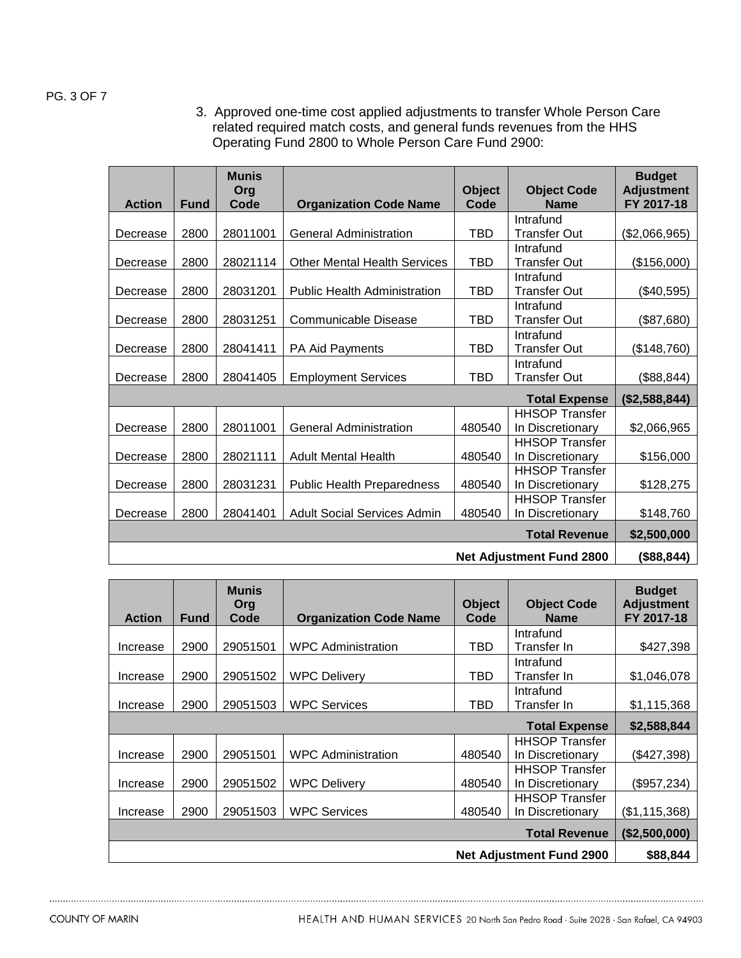PG. 3 OF 7

3. Approved one-time cost applied adjustments to transfer Whole Person Care related required match costs, and general funds revenues from the HHS Operating Fund 2800 to Whole Person Care Fund 2900:

| <b>Action</b>                   | <b>Fund</b> | <b>Munis</b><br>Org<br>Code | <b>Organization Code Name</b>       | <b>Object</b><br>Code | <b>Object Code</b><br><b>Name</b> | <b>Budget</b><br><b>Adjustment</b><br>FY 2017-18 |
|---------------------------------|-------------|-----------------------------|-------------------------------------|-----------------------|-----------------------------------|--------------------------------------------------|
|                                 |             |                             |                                     |                       | Intrafund                         |                                                  |
| Decrease                        | 2800        | 28011001                    | <b>General Administration</b>       | <b>TBD</b>            | <b>Transfer Out</b>               | (\$2,066,965)                                    |
|                                 |             |                             |                                     |                       | Intrafund                         |                                                  |
| Decrease                        | 2800        | 28021114                    | <b>Other Mental Health Services</b> | <b>TBD</b>            | <b>Transfer Out</b>               | (\$156,000)                                      |
|                                 |             |                             |                                     |                       | Intrafund                         |                                                  |
| Decrease                        | 2800        | 28031201                    | <b>Public Health Administration</b> | <b>TBD</b>            | <b>Transfer Out</b>               | $(\$40,595)$                                     |
|                                 |             |                             |                                     |                       | Intrafund                         |                                                  |
| Decrease                        | 2800        | 28031251                    | <b>Communicable Disease</b>         | <b>TBD</b>            | <b>Transfer Out</b>               | (\$87,680)                                       |
|                                 |             |                             |                                     |                       | Intrafund                         |                                                  |
| Decrease                        | 2800        | 28041411                    | PA Aid Payments                     | <b>TBD</b>            | <b>Transfer Out</b>               | (\$148,760)                                      |
|                                 |             |                             |                                     |                       | Intrafund                         |                                                  |
| Decrease                        | 2800        | 28041405                    | <b>Employment Services</b>          | <b>TBD</b>            | <b>Transfer Out</b>               | (\$88, 844)                                      |
| <b>Total Expense</b>            |             |                             |                                     |                       |                                   | (\$2,588,844)                                    |
|                                 |             |                             |                                     |                       | <b>HHSOP Transfer</b>             |                                                  |
| Decrease                        | 2800        | 28011001                    | <b>General Administration</b>       | 480540                | In Discretionary                  | \$2,066,965                                      |
|                                 |             |                             |                                     |                       | <b>HHSOP Transfer</b>             |                                                  |
| Decrease                        | 2800        | 28021111                    | <b>Adult Mental Health</b>          | 480540                | In Discretionary                  | \$156,000                                        |
|                                 |             |                             |                                     |                       | <b>HHSOP Transfer</b>             |                                                  |
| Decrease                        | 2800        | 28031231                    | <b>Public Health Preparedness</b>   | 480540                | In Discretionary                  | \$128,275                                        |
|                                 |             |                             |                                     |                       | <b>HHSOP Transfer</b>             |                                                  |
| Decrease                        | 2800        | 28041401                    | <b>Adult Social Services Admin</b>  | 480540                | In Discretionary                  | \$148,760                                        |
| <b>Total Revenue</b>            |             |                             |                                     |                       | \$2,500,000                       |                                                  |
| <b>Net Adjustment Fund 2800</b> |             |                             |                                     |                       | (\$88, 844)                       |                                                  |

|                                 |             | <b>Munis</b><br>Org |                               | <b>Object</b> | <b>Object Code</b>    | <b>Budget</b><br><b>Adjustment</b> |
|---------------------------------|-------------|---------------------|-------------------------------|---------------|-----------------------|------------------------------------|
| <b>Action</b>                   | <b>Fund</b> | Code                | <b>Organization Code Name</b> | Code          | <b>Name</b>           | FY 2017-18                         |
|                                 |             |                     |                               |               | Intrafund             |                                    |
| Increase                        | 2900        | 29051501            | <b>WPC Administration</b>     | TBD           | Transfer In           | \$427,398                          |
|                                 |             |                     |                               |               | Intrafund             |                                    |
| Increase                        | 2900        | 29051502            | <b>WPC Delivery</b>           | TBD           | Transfer In           | \$1,046,078                        |
|                                 |             |                     |                               |               | Intrafund             |                                    |
| Increase                        | 2900        | 29051503            | <b>WPC Services</b>           | TBD           | Transfer In           | \$1,115,368                        |
|                                 |             |                     |                               |               | <b>Total Expense</b>  | \$2,588,844                        |
|                                 |             |                     |                               |               | <b>HHSOP Transfer</b> |                                    |
| Increase                        | 2900        | 29051501            | <b>WPC Administration</b>     | 480540        | In Discretionary      | (\$427,398)                        |
|                                 |             |                     |                               |               | <b>HHSOP Transfer</b> |                                    |
| Increase                        | 2900        | 29051502            | <b>WPC Delivery</b>           | 480540        | In Discretionary      | (\$957,234)                        |
|                                 |             |                     |                               |               | <b>HHSOP Transfer</b> |                                    |
| Increase                        | 2900        | 29051503            | <b>WPC Services</b>           | 480540        | In Discretionary      | (\$1,115,368)                      |
|                                 |             |                     |                               |               | <b>Total Revenue</b>  | (\$2,500,000)                      |
| <b>Net Adjustment Fund 2900</b> |             |                     |                               |               | \$88.844              |                                    |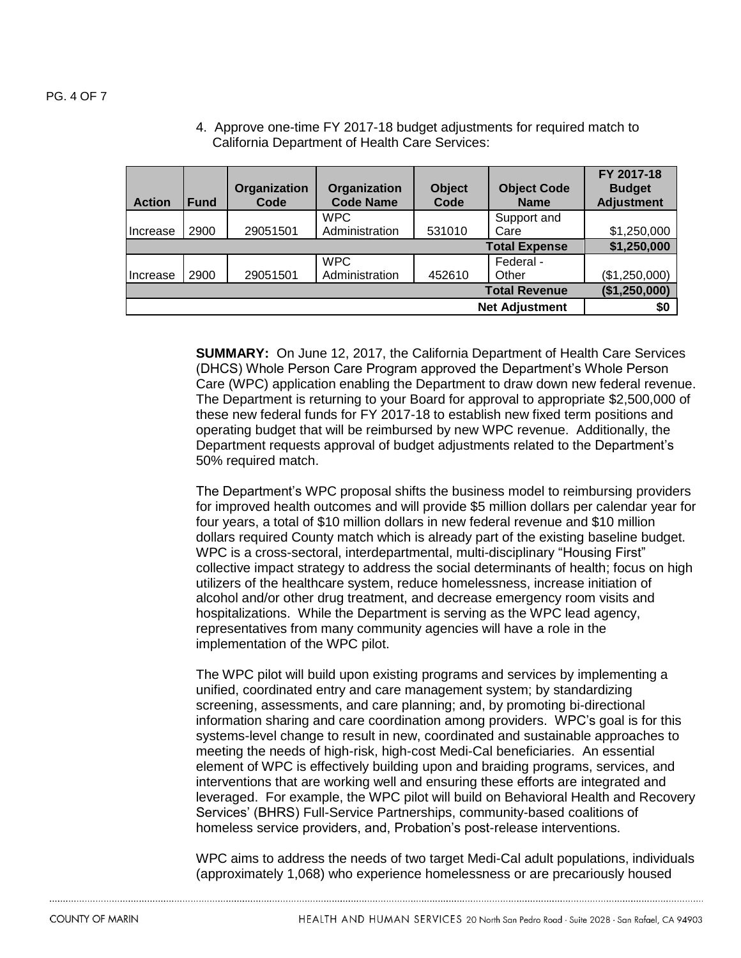4. Approve one-time FY 2017-18 budget adjustments for required match to California Department of Health Care Services:

**SUMMARY:** On June 12, 2017, the California Department of Health Care Services (DHCS) Whole Person Care Program approved the Department's Whole Person Care (WPC) application enabling the Department to draw down new federal revenue. The Department is returning to your Board for approval to appropriate \$2,500,000 of these new federal funds for FY 2017-18 to establish new fixed term positions and operating budget that will be reimbursed by new WPC revenue. Additionally, the Department requests approval of budget adjustments related to the Department's 50% required match.

The Department's WPC proposal shifts the business model to reimbursing providers for improved health outcomes and will provide \$5 million dollars per calendar year for four years, a total of \$10 million dollars in new federal revenue and \$10 million dollars required County match which is already part of the existing baseline budget. WPC is a cross-sectoral, interdepartmental, multi-disciplinary "Housing First" collective impact strategy to address the social determinants of health; focus on high utilizers of the healthcare system, reduce homelessness, increase initiation of alcohol and/or other drug treatment, and decrease emergency room visits and hospitalizations. While the Department is serving as the WPC lead agency, representatives from many community agencies will have a role in the implementation of the WPC pilot.

The WPC pilot will build upon existing programs and services by implementing a unified, coordinated entry and care management system; by standardizing screening, assessments, and care planning; and, by promoting bi-directional information sharing and care coordination among providers. WPC's goal is for this systems-level change to result in new, coordinated and sustainable approaches to meeting the needs of high-risk, high-cost Medi-Cal beneficiaries. An essential element of WPC is effectively building upon and braiding programs, services, and interventions that are working well and ensuring these efforts are integrated and leveraged. For example, the WPC pilot will build on Behavioral Health and Recovery Services' (BHRS) Full-Service Partnerships, community-based coalitions of homeless service providers, and, Probation's post-release interventions.

WPC aims to address the needs of two target Medi-Cal adult populations, individuals (approximately 1,068) who experience homelessness or are precariously housed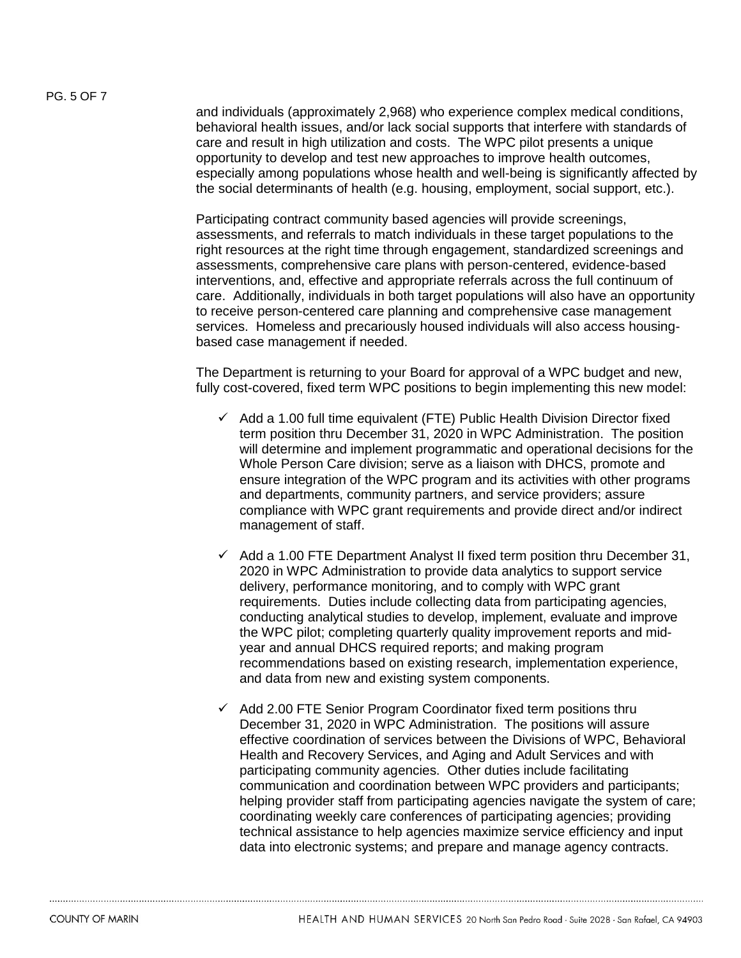PG. 5 OF 7

and individuals (approximately 2,968) who experience complex medical conditions, behavioral health issues, and/or lack social supports that interfere with standards of care and result in high utilization and costs. The WPC pilot presents a unique opportunity to develop and test new approaches to improve health outcomes, especially among populations whose health and well-being is significantly affected by the social determinants of health (e.g. housing, employment, social support, etc.).

Participating contract community based agencies will provide screenings, assessments, and referrals to match individuals in these target populations to the right resources at the right time through engagement, standardized screenings and assessments, comprehensive care plans with person-centered, evidence-based interventions, and, effective and appropriate referrals across the full continuum of care. Additionally, individuals in both target populations will also have an opportunity to receive person-centered care planning and comprehensive case management services. Homeless and precariously housed individuals will also access housingbased case management if needed.

The Department is returning to your Board for approval of a WPC budget and new, fully cost-covered, fixed term WPC positions to begin implementing this new model:

- $\checkmark$  Add a 1.00 full time equivalent (FTE) Public Health Division Director fixed term position thru December 31, 2020 in WPC Administration. The position will determine and implement programmatic and operational decisions for the Whole Person Care division; serve as a liaison with DHCS, promote and ensure integration of the WPC program and its activities with other programs and departments, community partners, and service providers; assure compliance with WPC grant requirements and provide direct and/or indirect management of staff.
- $\checkmark$  Add a 1.00 FTE Department Analyst II fixed term position thru December 31, 2020 in WPC Administration to provide data analytics to support service delivery, performance monitoring, and to comply with WPC grant requirements. Duties include collecting data from participating agencies, conducting analytical studies to develop, implement, evaluate and improve the WPC pilot; completing quarterly quality improvement reports and midyear and annual DHCS required reports; and making program recommendations based on existing research, implementation experience, and data from new and existing system components.
- $\checkmark$  Add 2.00 FTE Senior Program Coordinator fixed term positions thru December 31, 2020 in WPC Administration. The positions will assure effective coordination of services between the Divisions of WPC, Behavioral Health and Recovery Services, and Aging and Adult Services and with participating community agencies. Other duties include facilitating communication and coordination between WPC providers and participants; helping provider staff from participating agencies navigate the system of care; coordinating weekly care conferences of participating agencies; providing technical assistance to help agencies maximize service efficiency and input data into electronic systems; and prepare and manage agency contracts.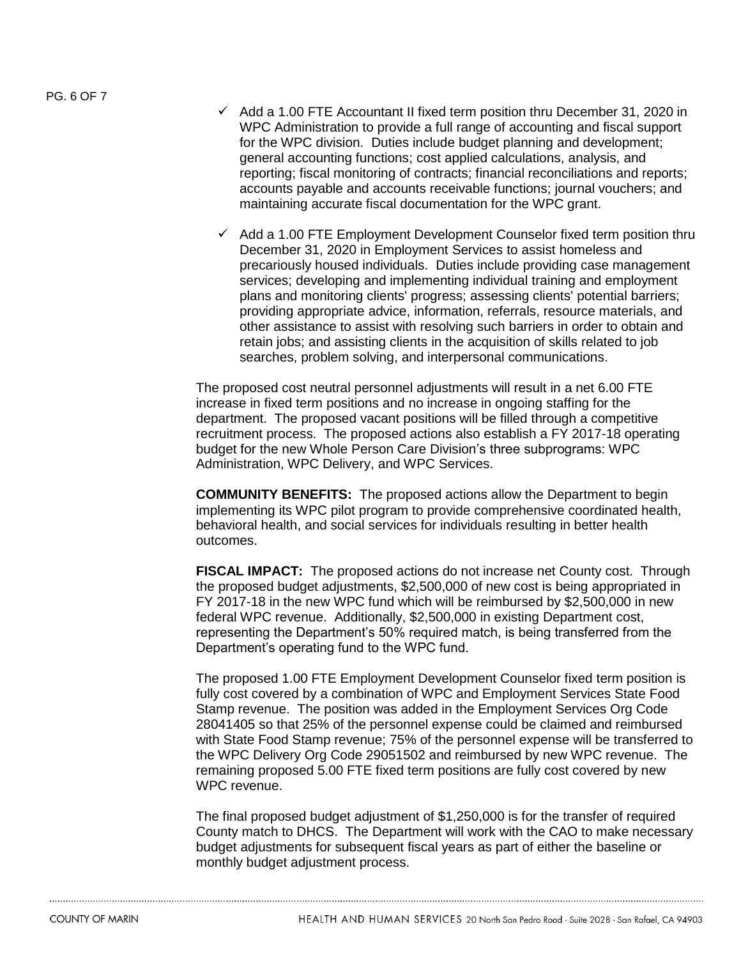- $\checkmark$  Add a 1.00 FTE Accountant II fixed term position thru December 31, 2020 in WPC Administration to provide a full range of accounting and fiscal support for the WPC division. Duties include budget planning and development; general accounting functions; cost applied calculations, analysis, and reporting; fiscal monitoring of contracts; financial reconciliations and reports; accounts payable and accounts receivable functions; journal vouchers; and maintaining accurate fiscal documentation for the WPC grant.
- $\checkmark$  Add a 1.00 FTE Employment Development Counselor fixed term position thru December 31, 2020 in Employment Services to assist homeless and precariously housed individuals. Duties include providing case management services; developing and implementing individual training and employment plans and monitoring clients' progress; assessing clients' potential barriers; providing appropriate advice, information, referrals, resource materials, and other assistance to assist with resolving such barriers in order to obtain and retain jobs; and assisting clients in the acquisition of skills related to job searches, problem solving, and interpersonal communications.

The proposed cost neutral personnel adjustments will result in a net 6.00 FTE increase in fixed term positions and no increase in ongoing staffing for the department. The proposed vacant positions will be filled through a competitive recruitment process. The proposed actions also establish a FY 2017-18 operating budget for the new Whole Person Care Division's three subprograms: WPC Administration, WPC Delivery, and WPC Services.

**COMMUNITY BENEFITS:** The proposed actions allow the Department to begin implementing its WPC pilot program to provide comprehensive coordinated health, behavioral health, and social services for individuals resulting in better health outcomes.

**FISCAL IMPACT:** The proposed actions do not increase net County cost. Through the proposed budget adjustments, \$2,500,000 of new cost is being appropriated in FY 2017-18 in the new WPC fund which will be reimbursed by \$2,500,000 in new federal WPC revenue. Additionally, \$2,500,000 in existing Department cost, representing the Department's 50% required match, is being transferred from the Department's operating fund to the WPC fund.

The proposed 1.00 FTE Employment Development Counselor fixed term position is fully cost covered by a combination of WPC and Employment Services State Food Stamp revenue. The position was added in the Employment Services Org Code 28041405 so that 25% of the personnel expense could be claimed and reimbursed with State Food Stamp revenue; 75% of the personnel expense will be transferred to the WPC Delivery Org Code 29051502 and reimbursed by new WPC revenue. The remaining proposed 5.00 FTE fixed term positions are fully cost covered by new WPC revenue.

The final proposed budget adjustment of \$1,250,000 is for the transfer of required County match to DHCS. The Department will work with the CAO to make necessary budget adjustments for subsequent fiscal years as part of either the baseline or monthly budget adjustment process.